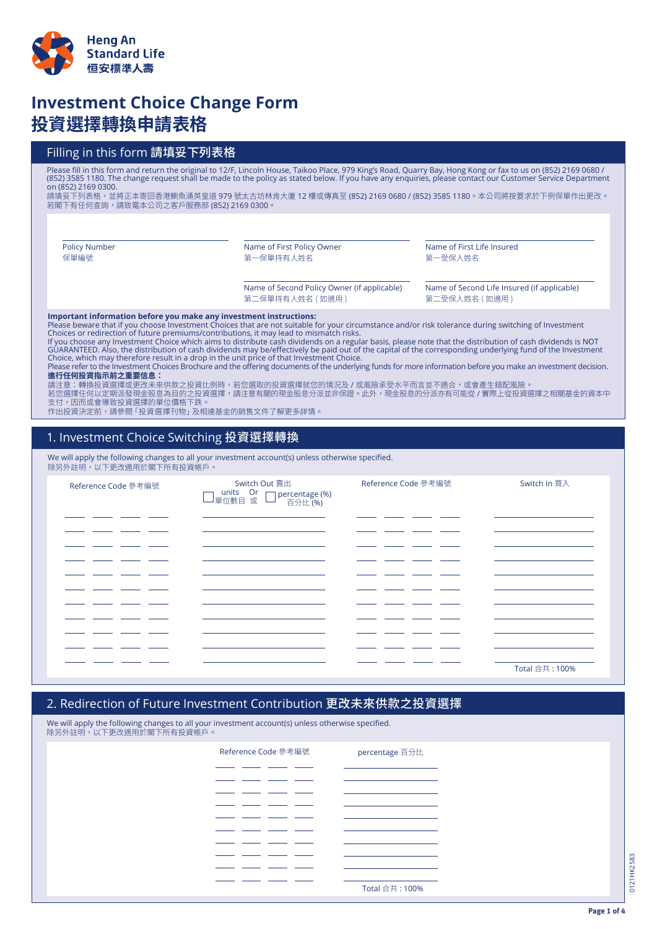

# **Investment Choice Change Form 投資選擇轉換申請表格**

## Filling in this form 請填妥下列表格

Please fill in this form and return the original to 12/F, Lincoln House, Taikoo Place, 979 King's Road, Quarry Bay, Hong Kong or fax to us on (852) 2169 0680 / (852) 3585 1180. The change request shall be made to the policy as stated below. If you have any enquiries, please contact our Customer Service Department on (852) 2169 0300.

請填妥下列表格,並將正本寄回香港鰂魚涌英皇道 979 號太古坊林肯大廈 12 樓或傳真至 (852) 2169 0680 / (852) 3585 1180。本公司將按要求於下例保單作出更改。 若閣下有任何查詢,請致電本公司之客戶服務部 (852) 2169 0300。

Policy Number 保單編號

Name of First Policy Owner 第一保單持有人姓名

Name of Second Policy Owner (if applicable) 第二保單持有人姓名 ( 如適用 )

Name of Second Life Insured (if applicable)

第二受保人姓名 (如適用)

Name of First Life Insured

第一受保人姓名

**Important information before you make any investment instructions:**<br>Please beware that if you choose Investment Choices that are not suitable for your circumstance and/or risk tolerance during switching of Investment Choices or redirection of future premiums/contributions, it may lead to mismatch risks.

If you choose any Investment Choice which aims to distribute cash dividends on a regular basis, please note that the distribution of cash dividends is NOT<br>GUARANTEED. Also, the distribution of cash dividends may be/effecti Choice, which may therefore result in a drop in the unit price of that Investment Choice.<br>Please refer to the Investment Choices Brochure and the offering documents of the underlying funds for more information before you m

**進行任何投資指示前之重要信息:**

請注意:轉換投資選擇或更改未來供款之投資比例時,若您選取的投資選擇就您的情況及 / 或風險承受水平而言並不適合,或會產生錯配風險。

若您選擇任何以定期派發現金股息為目的之投資選擇,請注意有關的現金股息分派並非保證。此外,現金股息的分派亦有可能從 / 實際上從投資選擇之相關基金的資本中 支付,因而或會導致投資選擇的單位價格下跌。

作出投資決定前,請參閱「投資選擇刊物」及相連基金的銷售文件了解更多詳情。

#### 1. Investment Choice Switching 投資選擇轉換

We will apply the following changes to all your investment account(s) unless otherwise specified. 除另外註明,以下更改適用於閣下所有投資帳戶。

| Reference Code 參考編號 | Switch Out 賣出<br>□ percentage (%)<br>百分比 (%) | Reference Code 參考編號 | Switch In 買入   |
|---------------------|----------------------------------------------|---------------------|----------------|
|                     |                                              |                     |                |
|                     |                                              |                     |                |
|                     |                                              |                     |                |
|                     |                                              |                     |                |
|                     |                                              |                     | Total 合共: 100% |

#### 2. Redirection of Future Investment Contribution 更改未來供款之投資選擇

We will apply the following changes to all your investment account(s) unless otherwise specified. 除另外註明,以下更改適用於閣下所有投資帳戶。

| Reference Code 參考編號 |  | percentage 百分比 |
|---------------------|--|----------------|
|                     |  |                |
|                     |  |                |
|                     |  |                |
|                     |  |                |
|                     |  |                |
|                     |  |                |
|                     |  |                |
|                     |  |                |
|                     |  |                |
|                     |  | Total 合共: 100% |

0121HK2583 0121 HK2583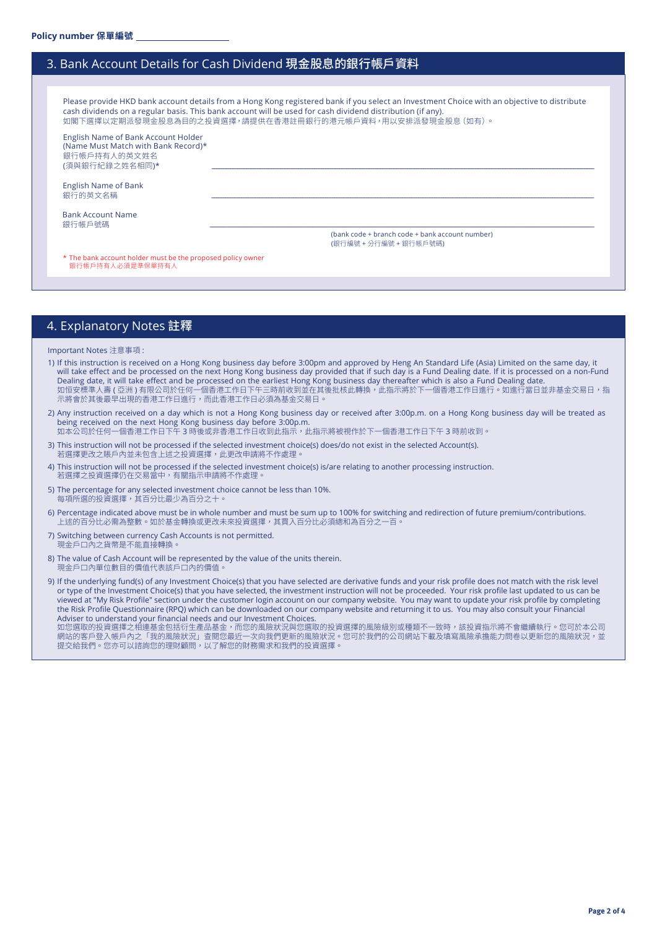#### 3. Bank Account Details for Cash Dividend 現金股息的銀行帳戶資料

Please provide HKD bank account details from a Hong Kong registered bank if you select an Investment Choice with an objective to distribute cash dividends on a regular basis. This bank account will be used for cash dividend distribution (if any). 如閣下選擇以定期派發現金股息為目的之投資選擇,請提供在香港註冊銀行的港元帳戶資料,用以安排派發現金股息(如有)。

English Name of Bank Account Holder (Name Must Match with Bank Record)\* 、<br>銀行帳戶持有人的英文姓名 (須與銀行紀錄之姓名相同)\*

English Name of Bank 銀行的英文名稱 \_\_\_\_\_\_\_\_\_\_\_\_\_\_\_\_\_\_\_\_\_\_\_\_\_\_\_\_\_\_\_\_\_\_\_\_\_\_\_\_\_\_\_\_\_\_\_\_\_\_\_\_\_\_\_\_\_\_\_\_\_\_\_\_\_\_\_\_\_\_\_\_\_\_\_\_\_\_\_\_\_\_\_\_\_\_\_\_\_\_\_\_\_\_\_\_\_\_\_\_\_\_\_\_\_\_\_\_\_\_\_\_\_\_\_\_\_\_\_\_\_\_\_\_\_\_\_\_\_\_\_\_\_\_\_\_\_\_\_\_\_\_\_\_\_\_\_\_\_\_\_\_\_\_\_\_\_\_\_\_\_\_\_\_\_\_\_\_

Bank Account Name<br>銀行帳戶號碼 銀行帳戶號碼 \_\_\_\_\_\_\_\_\_\_\_\_\_\_\_\_\_\_\_\_\_\_\_\_\_\_\_\_\_\_\_\_\_\_\_\_\_\_\_\_\_\_\_\_\_\_\_\_\_\_\_\_\_\_\_\_\_\_\_\_\_\_\_\_\_\_\_\_\_\_\_\_\_\_\_\_\_\_\_\_\_\_\_\_\_\_\_\_\_\_\_\_\_\_\_\_\_\_\_\_\_\_\_\_\_\_\_\_\_\_\_\_\_\_\_\_\_\_\_\_\_\_\_\_\_\_\_\_\_\_\_\_\_\_\_\_\_\_\_\_\_\_\_\_\_\_\_\_\_\_\_\_\_\_\_\_\_\_\_\_\_\_\_\_\_\_\_\_\_

(bank code + branch code + bank account number) (銀行編號 + 分行編號 + 銀行帳戶號碼)

\* The bank account holder must be the proposed policy owner 银行帳戶持有人必須是準保單持有人

#### 4. Explanatory Notes 註釋

Important Notes 注意事項 :

- 1) If this instruction is received on a Hong Kong business day before 3:00pm and approved by Heng An Standard Life (Asia) Limited on the same day, it will take effect and be processed on the next Hong Kong business day provided that if such day is a Fund Dealing date. If it is processed on a non-Fund Dealing date, it will take effect and be processed on the earliest Hong Kong business day thereafter which is also a Fund Dealing date. 如恒安標準人壽 ( 亞洲 ) 有限公司於任何一個香港工作日下午三時前收到並在其後批核此轉換,此指示將於下一個香港工作日進行。如進行當日並非基金交易日,指 示將會於其後最早出現的香港工作日進行,而此香港工作日必須為基金交易日。
- 2) Any instruction received on a day which is not a Hong Kong business day or received after 3:00p.m. on a Hong Kong business day will be treated as being received on the next Hong Kong business day before 3:00p.m. 如本公司於任何一個香港工作日下午 3 時後或非香港工作日收到此指示,此指示將被視作於下一個香港工作日下午 3 時前收到。
- 3) This instruction will not be processed if the selected investment choice(s) does/do not exist in the selected Account(s). 若選擇更改之賬戶內並未包含上述之投資選擇,此更改申請將不作處理
- 4) This instruction will not be processed if the selected investment choice(s) is/are relating to another processing instruction. 若選擇之投資選擇仍在交易當中,有關指示申請將不作處理。
- 5) The percentage for any selected investment choice cannot be less than 10%. 每項所選的投資選擇,其百分比最少為百分之十
- 6) Percentage indicated above must be in whole number and must be sum up to 100% for switching and redirection of future premium/contributions. 上述的百分比必需為整數。如於基金轉換或更改未來投資選擇,其買入百分比必須總和為百分之一百。
- 7) Switching between currency Cash Accounts is not permitted. 現金戶口內之貨幣是不能直接轉換
- 8) The value of Cash Account will be represented by the value of the units therein. 現金戶口內單位數目的價值代表該戶口內的價值
- 9) If the underlying fund(s) of any Investment Choice(s) that you have selected are derivative funds and your risk profile does not match with the risk level or type of the Investment Choice(s) that you have selected, the investment instruction will not be proceeded. Your risk profile last updated to us can be viewed at "My Risk Profile" section under the customer login account on our company website. You may want to update your risk profile by completing the Risk Profile Questionnaire (RPQ) which can be downloaded on our company website and returning it to us. You may also consult your Financial Adviser to understand your financial needs and our Investment Choices.

如您選取的投資選擇之相連基金包括衍生產品基金,而您的風險狀況與您選取的投資選擇的風險級別或種類不一致時,該投資指示將不會繼續執行。您可於本公司 網站的客戶登入帳戶內乙「我的風險狀況」查閱您最近一次向我們更新的風險狀況。您可於我們的公司網站下載及填寫風險承獲能力問卷以更新您的風險狀況,亚 。<br>提交給我們。您亦可以諮詢您的理財顧問,以了解您的財務需求和我們的投資選擇。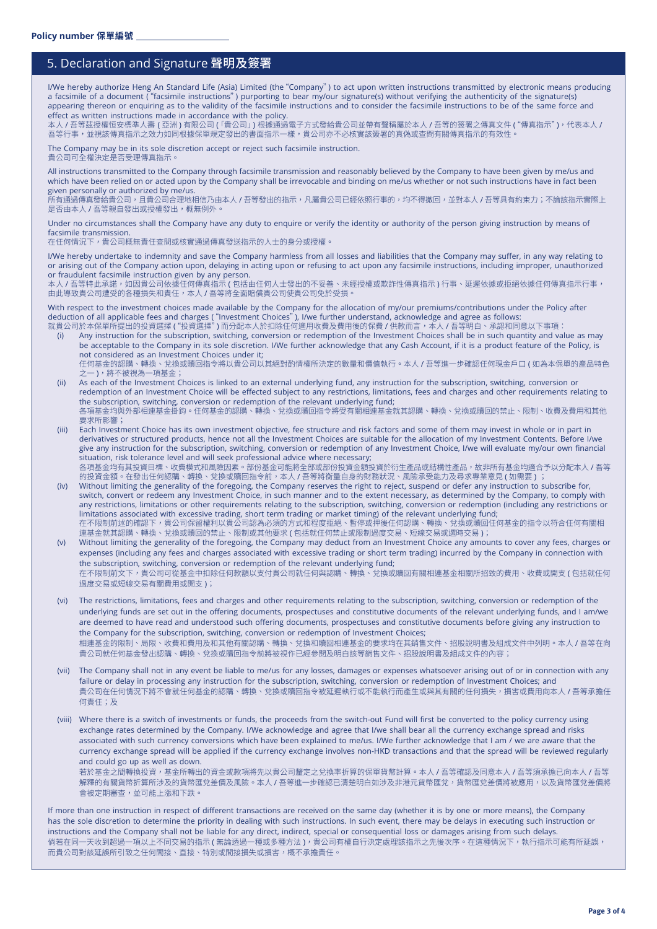## 5. Declaration and Signature 聲明及簽署

I/We hereby authorize Heng An Standard Life (Asia) Limited (the"Company") to act upon written instructions transmitted by electronic means producing a facsimile of a document "( facsimile instructions") purporting to bear my/our signature(s) without verifying the authenticity of the signature(s) appearing thereon or enquiring as to the validity of the facsimile instructions and to consider the facsimile instructions to be of the same force and effect as written instructions made in accordance with the policy.

本人 / 吾等茲授權恒安標準人壽 ( 亞洲 ) 有限公司 ( 「貴公司」) 根據通過電子方式發給貴公司並帶有聲稱屬於本人 / 吾等的簽署之傳真文件 ( "傳真指示" ) ,代表本人 / 吾等行事,並視該傳真指示之效力如同根據保單規定發出的書面指示一樣,貴公司亦不必核實該簽署的真偽或查問有關傳真指示的有效性。

The Company may be in its sole discretion accept or reject such facsimile instruction. 貴公司可全權決定是否受理傳真指示

All instructions transmitted to the Company through facsimile transmission and reasonably believed by the Company to have been given by me/us and which have been relied on or acted upon by the Company shall be irrevocable and binding on me/us whether or not such instructions have in fact been given personally or authorized by me/us.

所有通過傳真發給貴公司,且貴公司合理地相信乃由本人 / 吾等發出的指示,凡屬貴公司已經依照行事的,均不得撤回,並對本人 / 吾等具有約束力;不論該指示實際上 是否由本人 / 吾等親自發出或授權發出,概無例外

Under no circumstances shall the Company have any duty to enquire or verify the identity or authority of the person giving instruction by means of facsimile transmission.

在任何情況下,貴公司概無責任查問或核實通過傳真發送指示的人士的身分或授權。

I/We hereby undertake to indemnity and save the Company harmless from all losses and liabilities that the Company may suffer, in any way relating to or arising out of the Company action upon, delaying in acting upon or refusing to act upon any facsimile instructions, including improper, unauthorized or fraudulent facsimile instruction given by any person.

本人 / 吾等特此承諾,如因貴公司依據任何傳真指示 ( 包括由任何人士發出的不妥善、未經授權或欺詐性傳真指示 ) 行事、延遲依據或拒絕依據任何傳真指示行事, 由此導致貴公司遭受的各種損失和責任,本人 / 吾等將全面賠償貴公司使貴公司免於受損。

With respect to the investment choices made available by the Company for the allocation of my/our premiums/contributions under the Policy after deduction of all applicable fees and charges ( "Investment Choices" ), I/we further understand, acknowledge and agree as follows:

就貴公司於本保單所提出的投資選擇 ( "投資選擇" ) 而分配本人於扣除任何適用收費及費用後的保費 / 供款而言,本人 / 吾等明白、承認和同意以下事項: (i) Any instruction for the subscription, switching, conversion or redemption of the Investment Choices shall be in such quantity and value as may be acceptable to the Company in its sole discretion. I/We further acknowledge that any Cash Account, if it is a product feature of the Policy, is not considered as an Investment Choices under it;

任何基金的認購、轉換、兌換或贖回指令將以貴公司以其絕對酌情權所決定的數量和價值執行。本人 / 吾等進一步確認任何現金戶口 ( 如為本保單的產品特色 之一 ),將不被視為一項基金

- (ii) As each of the Investment Choices is linked to an external underlying fund, any instruction for the subscription, switching, conversion or redemption of an Investment Choice will be effected subject to any restrictions, limitations, fees and charges and other requirements relating to the subscription, switching, conversion or redemption of the relevant underlying fund; 各項基金均與外部相連基金掛鈎。任何基金的認購、轉換、兌換或贖回指令將受有關相連基金就其認購、轉換、兌換或贖回的禁止、限制、收費及費用和其他 要求所影響;
- (iii) Each Investment Choice has its own investment objective, fee structure and risk factors and some of them may invest in whole or in part in derivatives or structured products, hence not all the Investment Choices are suitable for the allocation of my Investment Contents. Before I/we give any instruction for the subscription, switching, conversion or redemption of any Investment Choice, I/we will evaluate my/our own financial situation, risk tolerance level and will seek professional advice where necessary; 各項基金均有其投資目標、收費模式和風險因素。部份基金可能將全部或部份投資金額投資於衍生產品或結構性產品,故非所有基金均適合予以分配本人 <mark>/</mark> 吾等 的投資金額。在發出任何認購、轉換、兌換或贖回指令前,本人 / 吾等將衡量自身的財務狀況、風險承受能力及尋求專業意見 ( 如需要 )
- (iv) Without limiting the generality of the foregoing, the Company reserves the right to reject, suspend or defer any instruction to subscribe for, switch, convert or redeem any Investment Choice, in such manner and to the extent necessary, as determined by the Company, to comply with any restrictions, limitations or other requirements relating to the subscription, switching, conversion or redemption (including any restrictions or limitations associated with excessive trading, short term trading or market timing) of the relevant underlying fund; 在不限制前述的確認下,責公司保留權利以責公司認為必須的方式和程度拒絕、暫停或押後任何認購、轉換、兌換或贖回任何基金的指令以符合任何有關<mark>相</mark> 連基金就其認購、轉換、兌換或贖回的禁止、限制或其他要求 ( 包括就任何禁止或限制過度交易、短線交易或選時交易 );
- (v) Without limiting the generality of the foregoing, the Company may deduct from an Investment Choice any amounts to cover any fees, charges or expenses (including any fees and charges associated with excessive trading or short term trading) incurred by the Company in connection with the subscription, switching, conversion or redemption of the relevant underlying fund; 在不限制前文下,貴公司可從基金中扣除任何款額以支付貴公司就任何與認購、轉換、兌換或贖回有關相連基金相關所招致的費用、收費或開支 ( 包括就任何 過度交易或短線交易有關費用或開支 );
- (vi) The restrictions, limitations, fees and charges and other requirements relating to the subscription, switching, conversion or redemption of the underlying funds are set out in the offering documents, prospectuses and constitutive documents of the relevant underlying funds, and I am/we are deemed to have read and understood such offering documents, prospectuses and constitutive documents before giving any instruction to the Company for the subscription, switching, conversion or redemption of Investment Choices; 相連基金的限制、局限、收費和費用及和其他有關認購、轉換、兌換和贖回相連基金的要求均在其銷售文件、招股說明書及組成文件中列明。本人 / 吾等在向 貴公司就任何基金發出認購、轉換、兌換或贖回指令前將被視作已經參閱及明白該等銷售文件、招股說明書及組成文件的內容;
- (vii) The Company shall not in any event be liable to me/us for any losses, damages or expenses whatsoever arising out of or in connection with any failure or delay in processing any instruction for the subscription, switching, conversion or redemption of Investment Choices; and 貴公司在任何情況下將不會就任何基金的認購、轉換、兌換或贖回指令被延遲執行或不能執行而產生或與其有關的任何損失,損害或費用向本人 / 吾等承擔任 何責任;及
- (viii) Where there is a switch of investments or funds, the proceeds from the switch-out Fund will first be converted to the policy currency using exchange rates determined by the Company. I/We acknowledge and agree that I/we shall bear all the currency exchange spread and risks associated with such currency conversions which have been explained to me/us. I/We further acknowledge that I am / we are aware that the currency exchange spread will be applied if the currency exchange involves non-HKD transactions and that the spread will be reviewed regularly and could go up as well as down.

若於基金之間轉換投資,基金所轉出的資金或款項將先以貴公司釐定之兌換率折算的保單貨幣計算。本人 / 吾等確認及同意本人 / 吾等須承擔已向本人 / 吾等 解釋的有關貨幣折算所涉及的貨幣匯兌差價及風險。本人 / 吾等進一步確認已清楚明白如涉及非港元貨幣匯兌,貨幣匯兌差價將被應用,以及貨幣匯兌差價將 會被定期審查,並可能上漲和下跌。

If more than one instruction in respect of different transactions are received on the same day (whether it is by one or more means), the Company has the sole discretion to determine the priority in dealing with such instructions. In such event, there may be delays in executing such instruction or instructions and the Company shall not be liable for any direct, indirect, special or consequential loss or damages arising from such delays. 倘若在同一天收到超過一項以上不同交易的指示 ( 無論透過一種或多種方法 ),貴公司有權自行決定處理該指示之先後次序。在這種情況下,執行指示可能有所延誤, 而貴公司對該延誤所引致之任何間接、直接、特別或間接損失或損害,概不承擔責任。